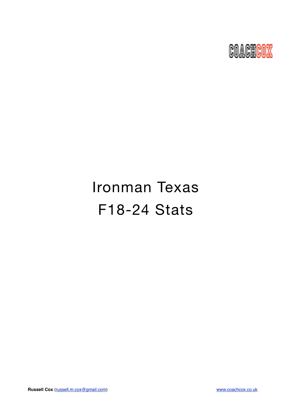

# Ironman Texas F18-24 Stats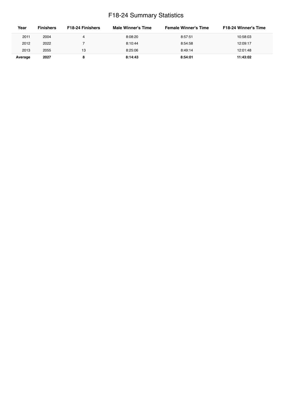## F18-24 Summary Statistics

| Year    | <b>Finishers</b> | F <sub>18</sub> -24 Finishers | Male Winner's Time | <b>Female Winner's Time</b> | <b>F18-24 Winner's Time</b> |
|---------|------------------|-------------------------------|--------------------|-----------------------------|-----------------------------|
| 2011    | 2004             |                               | 8:08:20            | 8:57:51                     | 10:58:03                    |
| 2012    | 2022             |                               | 8:10:44            | 8:54:58                     | 12:09:17                    |
| 2013    | 2055             | 13                            | 8:25:06            | 8:49:14                     | 12:01:48                    |
| Average | 2027             |                               | 8:14:43            | 8:54:01                     | 11:43:02                    |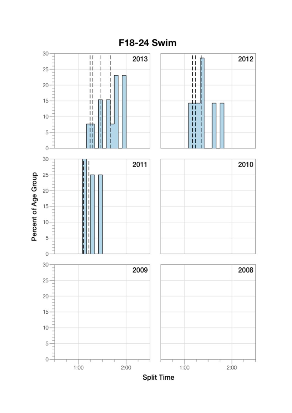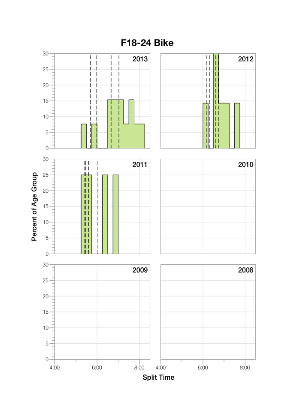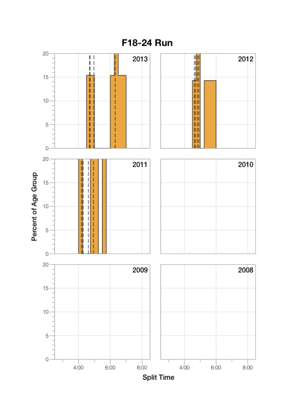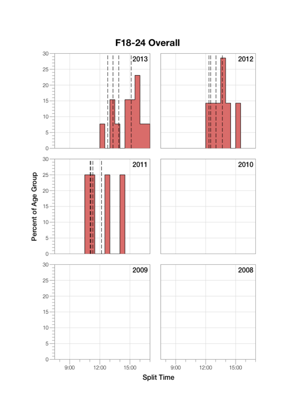

## F18-24 Overall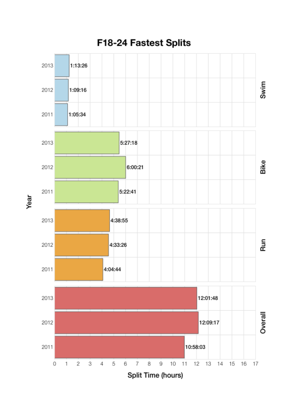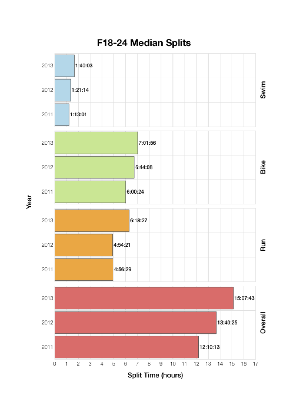

Year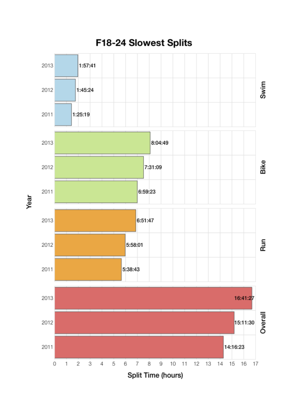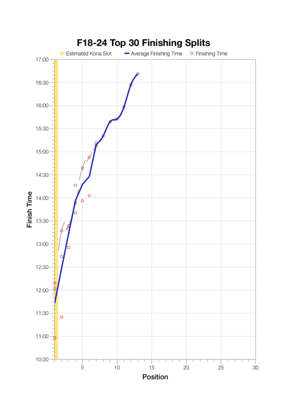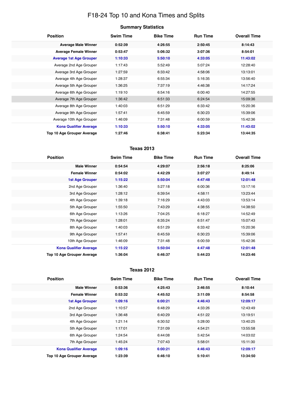## F18-24 Top 10 and Kona Times and Splits

| <b>Position</b>                | <b>Swim Time</b> | <b>Bike Time</b> | <b>Run Time</b> | <b>Overall Time</b> |
|--------------------------------|------------------|------------------|-----------------|---------------------|
| <b>Average Male Winner</b>     | 0:52:39          | 4:26:55          | 2:50:45         | 8:14:43             |
| <b>Average Female Winner</b>   | 0:53:47          | 5:06:32          | 3:07:36         | 8:54:01             |
| <b>Average 1st Age Grouper</b> | 1:10:33          | 5:50:10          | 4:33:05         | 11:43:02            |
| Average 2nd Age Grouper        | 1:17:43          | 5:52:49          | 5:07:24         | 12:28:40            |
| Average 3rd Age Grouper        | 1:27:59          | 6:33:42          | 4:58:06         | 13:13:01            |
| Average 4th Age Grouper        | 1:28:37          | 6:55:34          | 5:16:35         | 13:56:40            |
| Average 5th Age Grouper        | 1:36:25          | 7:37:19          | 4:46:38         | 14:17:24            |
| Average 6th Age Grouper        | 1:19:10          | 6:54:16          | 6:00:40         | 14:27:55            |
| Average 7th Age Grouper        | 1:36:42          | 6:51:33          | 6:24:54         | 15:09:36            |
| Average 8th Age Grouper        | 1:40:03          | 6:51:29          | 6:33:42         | 15:20:36            |
| Average 9th Age Grouper        | 1:57:41          | 6:45:59          | 6:30:23         | 15:39:06            |
| Average 10th Age Grouper       | 1:46:09          | 7:31:48          | 6:00:59         | 15:42:36            |
| <b>Kona Qualifier Average</b>  | 1:10:33          | 5:50:10          | 4:33:05         | 11:43:02            |
| Top 10 Age Grouper Average     | 1:27:46          | 6:38:41          | 5:23:34         | 13:44:35            |

#### **Texas 2013**

| <b>Position</b>               | <b>Swim Time</b> | <b>Bike Time</b> | <b>Run Time</b> | <b>Overall Time</b> |
|-------------------------------|------------------|------------------|-----------------|---------------------|
| <b>Male Winner</b>            | 0:54:54          | 4:29:07          | 2:56:18         | 8:25:06             |
| <b>Female Winner</b>          | 0:54:02          | 4:42:29          | 3:07:27         | 8:49:14             |
| <b>1st Age Grouper</b>        | 1:15:22          | 5:50:04          | 4:47:48         | 12:01:48            |
| 2nd Age Grouper               | 1:36:40          | 5:27:18          | 6:00:36         | 13:17:16            |
| 3rd Age Grouper               | 1:28:12          | 6:39:54          | 4:58:11         | 13:23:44            |
| 4th Age Grouper               | 1:39:18          | 7:16:29          | 4:43:03         | 13:53:14            |
| 5th Age Grouper               | 1:55:50          | 7:43:29          | 4:38:55         | 14:38:50            |
| 6th Age Grouper               | 1:13:26          | 7:04:25          | 6:18:27         | 14:52:49            |
| 7th Age Grouper               | 1:28:01          | 6:35:24          | 6:51:47         | 15:07:43            |
| 8th Age Grouper               | 1:40:03          | 6:51:29          | 6:33:42         | 15:20:36            |
| 9th Age Grouper               | 1:57:41          | 6:45:59          | 6:30:23         | 15:39:06            |
| 10th Age Grouper              | 1:46:09          | 7:31:48          | 6:00:59         | 15:42:36            |
| <b>Kona Qualifier Average</b> | 1:15:22          | 5:50:04          | 4:47:48         | 12:01:48            |
| Top 10 Age Grouper Average    | 1:36:04          | 6:46:37          | 5:44:23         | 14:23:46            |

#### **Texas 2012**

| <b>Position</b>                   | <b>Swim Time</b> | <b>Bike Time</b> | <b>Run Time</b> | <b>Overall Time</b> |
|-----------------------------------|------------------|------------------|-----------------|---------------------|
| <b>Male Winner</b>                | 0:53:36          | 4:25:43          | 2:46:55         | 8:10:44             |
| <b>Female Winner</b>              | 0:53:32          | 4:45:52          | 3:11:09         | 8:54:58             |
| <b>1st Age Grouper</b>            | 1:09:16          | 6:00:21          | 4:46:43         | 12:09:17            |
| 2nd Age Grouper                   | 1:10:57          | 6:48:29          | 4:33:26         | 12:43:49            |
| 3rd Age Grouper                   | 1:36:48          | 6:40:29          | 4:51:22         | 13:19:51            |
| 4th Age Grouper                   | 1:21:14          | 6:30:52          | 5:28:00         | 13:40:25            |
| 5th Age Grouper                   | 1:17:01          | 7:31:09          | 4:54:21         | 13:55:58            |
| 6th Age Grouper                   | 1:24:54          | 6:44:08          | 5:42:54         | 14:03:02            |
| 7th Age Grouper                   | 1:45:24          | 7:07:43          | 5:58:01         | 15:11:30            |
| <b>Kona Qualifier Average</b>     | 1:09:16          | 6:00:21          | 4:46:43         | 12:09:17            |
| <b>Top 10 Age Grouper Average</b> | 1:23:39          | 6:46:10          | 5:10:41         | 13:34:50            |